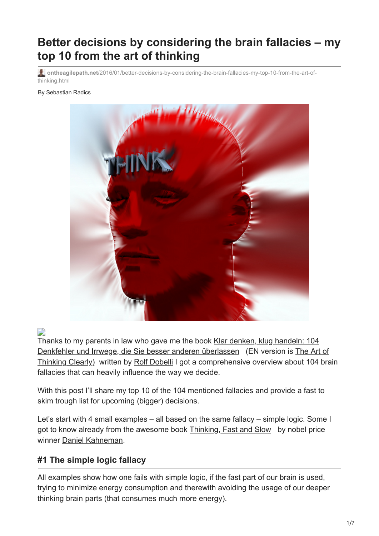# **Better decisions by considering the brain fallacies – my top 10 from the art of thinking**

**ontheagilepath.net**[/2016/01/better-decisions-by-considering-the-brain-fallacies-my-top-10-from-the-art-of](https://www.ontheagilepath.net/2016/01/better-decisions-by-considering-the-brain-fallacies-my-top-10-from-the-art-of-thinking.html)thinking.html

#### By Sebastian Radics



D

[Thanks to my parents in law who gave me the book Klar denken, klug handeln: 104](http://www.amazon.de/gp/product/3446445137/ref=as_li_tl?ie=UTF8&camp=1638&creative=19454&creativeASIN=3446445137&linkCode=as2&tag=httpwwwradics-21) [Denkfehler und Irrwege, die Sie besser anderen überlassen \(EN version is The Art of](http://www.amazon.de/gp/product/B00XX5Q9MC/ref=as_li_tl?ie=UTF8&camp=1638&creative=19454&creativeASIN=B00XX5Q9MC&linkCode=as2&tag=httpwwwradics-21) Thinking Clearly) written by [Rolf Dobelli](http://www.dobelli.com/) I got a comprehensive overview about 104 brain fallacies that can heavily influence the way we decide.

With this post I'll share my top 10 of the 104 mentioned fallacies and provide a fast to skim trough list for upcoming (bigger) decisions.

Let's start with 4 small examples – all based on the same fallacy – simple logic. Some I got to know already from the awesome book [Thinking, Fast and Slow](http://www.amazon.de/gp/product/B005MJFA2W/ref=as_li_tl?ie=UTF8&camp=1638&creative=19454&creativeASIN=B005MJFA2W&linkCode=as2&tag=httpwwwradics-21) by nobel price winner [Daniel Kahneman](https://en.wikipedia.org/wiki/Daniel_Kahneman).

### **#1 The simple logic fallacy**

All examples show how one fails with simple logic, if the fast part of our brain is used, trying to minimize energy consumption and therewith avoiding the usage of our deeper thinking brain parts (that consumes much more energy).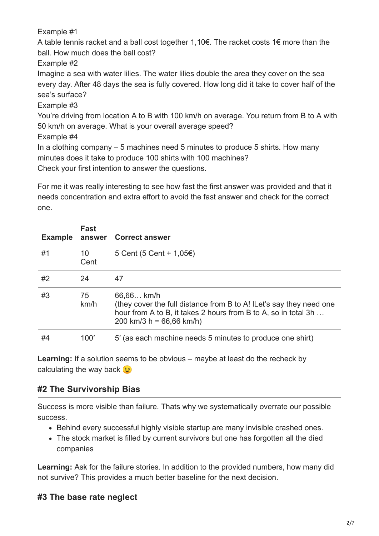Example #1

A table tennis racket and a ball cost together 1,10€. The racket costs 1€ more than the ball. How much does the ball cost?

Example #2

Imagine a sea with water lilies. The water lilies double the area they cover on the sea every day. After 48 days the sea is fully covered. How long did it take to cover half of the sea's surface?

Example #3

You're driving from location A to B with 100 km/h on average. You return from B to A with 50 km/h on average. What is your overall average speed?

Example #4

In a clothing company – 5 machines need 5 minutes to produce 5 shirts. How many minutes does it take to produce 100 shirts with 100 machines?

Check your first intention to answer the questions.

For me it was really interesting to see how fast the first answer was provided and that it needs concentration and extra effort to avoid the fast answer and check for the correct one.

| <b>Example</b> | Fast<br>answer | <b>Correct answer</b>                                                                                                                                                             |
|----------------|----------------|-----------------------------------------------------------------------------------------------------------------------------------------------------------------------------------|
| #1             | 10<br>Cent     | 5 Cent (5 Cent + 1,05€)                                                                                                                                                           |
| #2             | 24             | 47                                                                                                                                                                                |
| #3             | 75<br>km/h     | 66,66 km/h<br>(they cover the full distance from B to A! ILet's say they need one<br>hour from A to B, it takes 2 hours from B to A, so in total 3h<br>200 km/3 h = $66,66$ km/h) |
| #4             | 100'           | 5' (as each machine needs 5 minutes to produce one shirt)                                                                                                                         |

**Learning:** If a solution seems to be obvious – maybe at least do the recheck by calculating the way back  $\odot$ 

# **#2 The Survivorship Bias**

Success is more visible than failure. Thats why we systematically overrate our possible success.

- Behind every successful highly visible startup are many invisible crashed ones.
- The stock market is filled by current survivors but one has forgotten all the died companies

**Learning:** Ask for the failure stories. In addition to the provided numbers, how many did not survive? This provides a much better baseline for the next decision.

# **#3 The base rate neglect**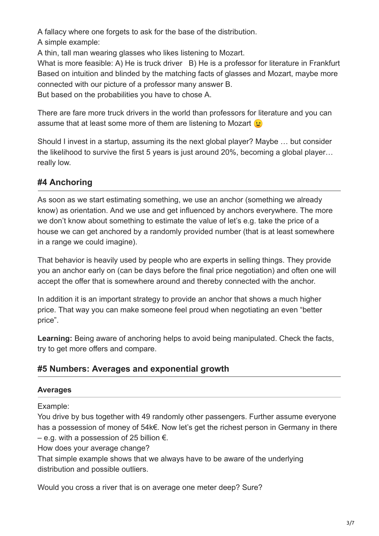A fallacy where one forgets to ask for the base of the distribution.

A simple example:

A thin, tall man wearing glasses who likes listening to Mozart.

What is more feasible: A) He is truck driver B) He is a professor for literature in Frankfurt Based on intuition and blinded by the matching facts of glasses and Mozart, maybe more connected with our picture of a professor many answer B.

But based on the probabilities you have to chose A.

There are fare more truck drivers in the world than professors for literature and you can assume that at least some more of them are listening to Mozart

Should I invest in a startup, assuming its the next global player? Maybe … but consider the likelihood to survive the first 5 years is just around 20%, becoming a global player… really low.

# **#4 Anchoring**

As soon as we start estimating something, we use an anchor (something we already know) as orientation. And we use and get influenced by anchors everywhere. The more we don't know about something to estimate the value of let's e.g. take the price of a house we can get anchored by a randomly provided number (that is at least somewhere in a range we could imagine).

That behavior is heavily used by people who are experts in selling things. They provide you an anchor early on (can be days before the final price negotiation) and often one will accept the offer that is somewhere around and thereby connected with the anchor.

In addition it is an important strategy to provide an anchor that shows a much higher price. That way you can make someone feel proud when negotiating an even "better price".

**Learning:** Being aware of anchoring helps to avoid being manipulated. Check the facts, try to get more offers and compare.

# **#5 Numbers: Averages and exponential growth**

### **Averages**

Example:

You drive by bus together with 49 randomly other passengers. Further assume everyone has a possession of money of 54k€. Now let's get the richest person in Germany in there – e.g. with a possession of 25 billion €.

How does your average change?

That simple example shows that we always have to be aware of the underlying distribution and possible outliers.

Would you cross a river that is on average one meter deep? Sure?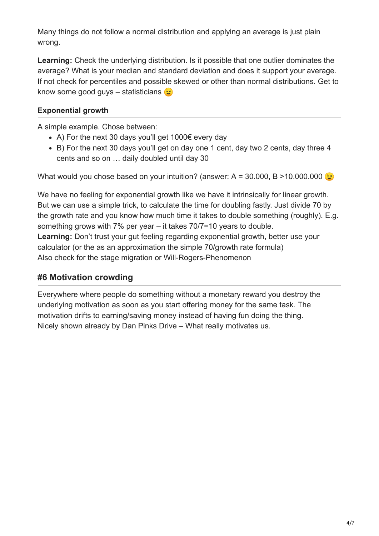Many things do not follow a normal distribution and applying an average is just plain wrong.

**Learning:** Check the underlying distribution. Is it possible that one outlier dominates the average? What is your median and standard deviation and does it support your average. If not check for percentiles and possible skewed or other than normal distributions. Get to know some good guys – statisticians  $\odot$ 

# **Exponential growth**

A simple example. Chose between:

- A) For the next 30 days you'll get 1000€ every day
- B) For the next 30 days you'll get on day one 1 cent, day two 2 cents, day three 4 cents and so on … daily doubled until day 30

What would you chose based on your intuition? (answer: A = 30.000, B > 10.000.000  $\odot$ 

We have no feeling for exponential growth like we have it intrinsically for linear growth. But we can use a simple trick, to calculate the time for doubling fastly. Just divide 70 by the growth rate and you know how much time it takes to double something (roughly). E.g. something grows with 7% per year – it takes 70/7=10 years to double. Learning: Don't trust your gut feeling regarding exponential growth, better use your calculator (or the as an approximation the simple 70/growth rate formula) Also check for the stage migration or Will-Rogers-Phenomenon

# **#6 Motivation crowding**

Everywhere where people do something without a monetary reward you destroy the underlying motivation as soon as you start offering money for the same task. The motivation drifts to earning/saving money instead of having fun doing the thing. Nicely shown already by Dan Pinks Drive – What really motivates us.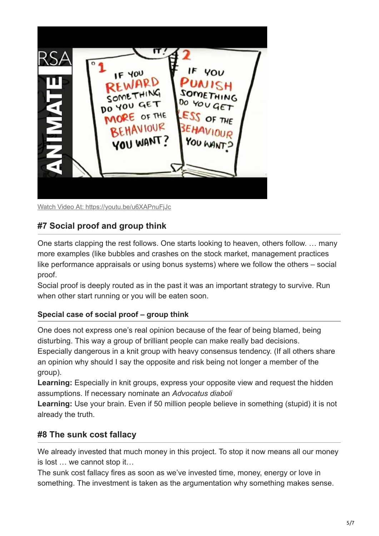

Watch Video At: <https://youtu.be/u6XAPnuFjJc>

### **#7 Social proof and group think**

One starts clapping the rest follows. One starts looking to heaven, others follow. … many more examples (like bubbles and crashes on the stock market, management practices like performance appraisals or using bonus systems) where we follow the others – social proof.

Social proof is deeply routed as in the past it was an important strategy to survive. Run when other start running or you will be eaten soon.

#### **Special case of social proof – group think**

One does not express one's real opinion because of the fear of being blamed, being disturbing. This way a group of brilliant people can make really bad decisions. Especially dangerous in a knit group with heavy consensus tendency. (If all others share an opinion why should I say the opposite and risk being not longer a member of the group).

**Learning:** Especially in knit groups, express your opposite view and request the hidden assumptions. If necessary nominate an *Advocatus diaboli*

**Learning:** Use your brain. Even if 50 million people believe in something (stupid) it is not already the truth.

#### **#8 The sunk cost fallacy**

We already invested that much money in this project. To stop it now means all our money is lost … we cannot stop it…

The sunk cost fallacy fires as soon as we've invested time, money, energy or love in something. The investment is taken as the argumentation why something makes sense.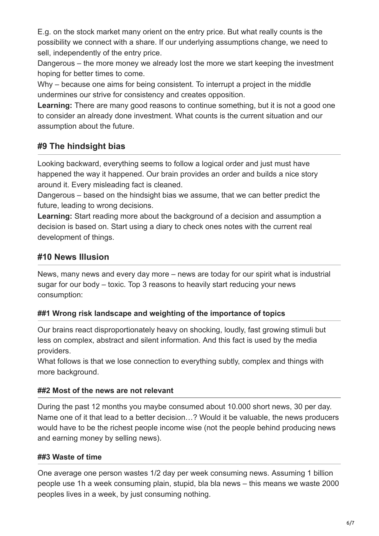E.g. on the stock market many orient on the entry price. But what really counts is the possibility we connect with a share. If our underlying assumptions change, we need to sell, independently of the entry price.

Dangerous – the more money we already lost the more we start keeping the investment hoping for better times to come.

Why – because one aims for being consistent. To interrupt a project in the middle undermines our strive for consistency and creates opposition.

**Learning:** There are many good reasons to continue something, but it is not a good one to consider an already done investment. What counts is the current situation and our assumption about the future.

# **#9 The hindsight bias**

Looking backward, everything seems to follow a logical order and just must have happened the way it happened. Our brain provides an order and builds a nice story around it. Every misleading fact is cleaned.

Dangerous – based on the hindsight bias we assume, that we can better predict the future, leading to wrong decisions.

**Learning:** Start reading more about the background of a decision and assumption a decision is based on. Start using a diary to check ones notes with the current real development of things.

# **#10 News Illusion**

News, many news and every day more – news are today for our spirit what is industrial sugar for our body – toxic. Top 3 reasons to heavily start reducing your news consumption:

#### **##1 Wrong risk landscape and weighting of the importance of topics**

Our brains react disproportionately heavy on shocking, loudly, fast growing stimuli but less on complex, abstract and silent information. And this fact is used by the media providers.

What follows is that we lose connection to everything subtly, complex and things with more background.

#### **##2 Most of the news are not relevant**

During the past 12 months you maybe consumed about 10.000 short news, 30 per day. Name one of it that lead to a better decision…? Would it be valuable, the news producers would have to be the richest people income wise (not the people behind producing news and earning money by selling news).

#### **##3 Waste of time**

One average one person wastes 1/2 day per week consuming news. Assuming 1 billion people use 1h a week consuming plain, stupid, bla bla news – this means we waste 2000 peoples lives in a week, by just consuming nothing.